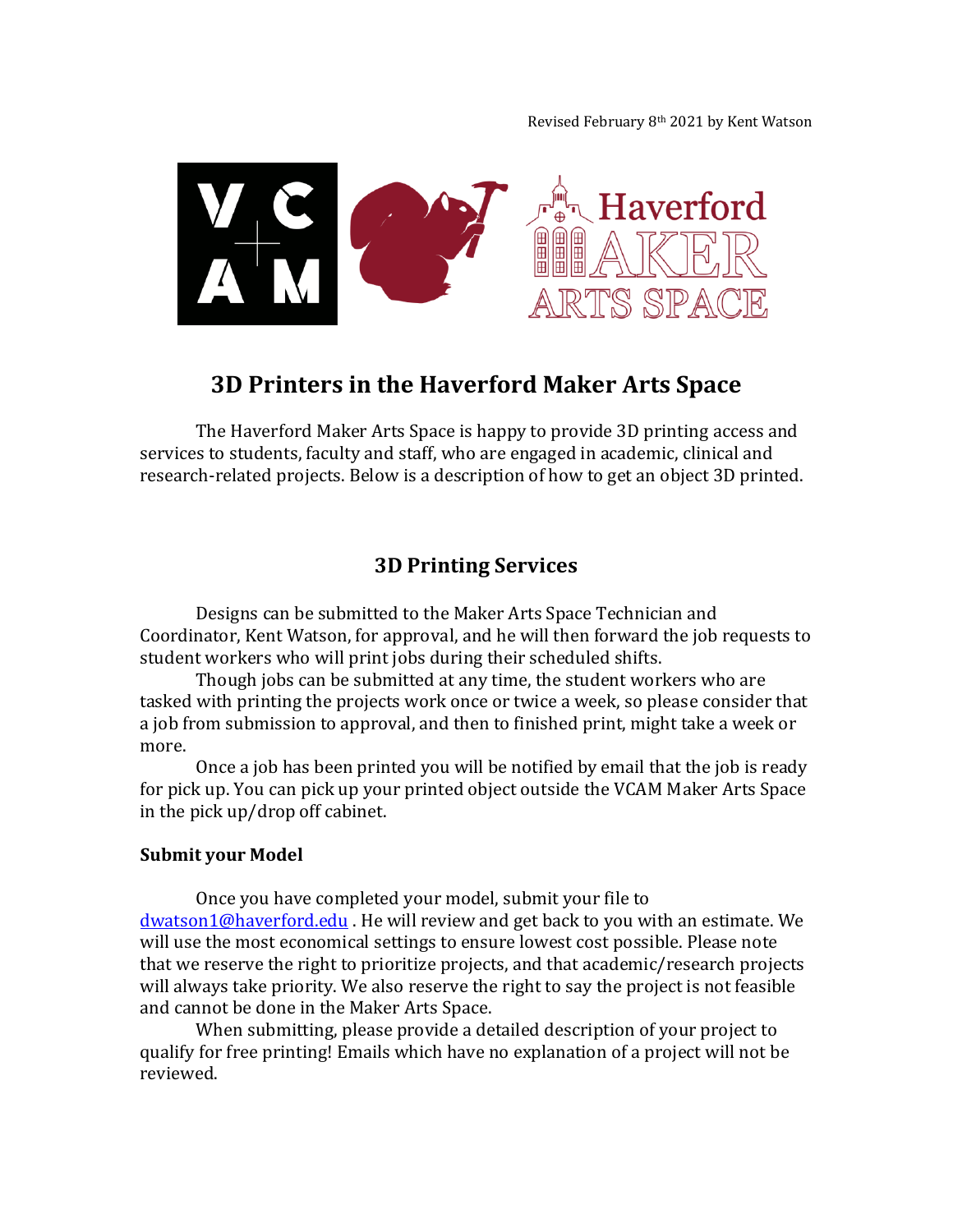Revised February 8th 2021 by Kent Watson



# **3D Printers in the Haverford Maker Arts Space**

The Haverford Maker Arts Space is happy to provide 3D printing access and services to students, faculty and staff, who are engaged in academic, clinical and research-related projects. Below is a description of how to get an object 3D printed.

## **3D Printing Services**

Designs can be submitted to the Maker Arts Space Technician and Coordinator, Kent Watson, for approval, and he will then forward the job requests to student workers who will print jobs during their scheduled shifts.

Though jobs can be submitted at any time, the student workers who are tasked with printing the projects work once or twice a week, so please consider that a job from submission to approval, and then to finished print, might take a week or more.

Once a job has been printed you will be notified by email that the job is ready for pick up. You can pick up your printed object outside the VCAM Maker Arts Space in the pick up/drop off cabinet.

#### **Submit your Model**

Once you have completed your model, submit your file to [dwatson1@haverford.edu](mailto:dwatson1@haverford.edu). He will review and get back to you with an estimate. We will use the most economical settings to ensure lowest cost possible. Please note that we reserve the right to prioritize projects, and that academic/research projects will always take priority. We also reserve the right to say the project is not feasible and cannot be done in the Maker Arts Space.

When submitting, please provide a detailed description of your project to qualify for free printing! Emails which have no explanation of a project will not be reviewed.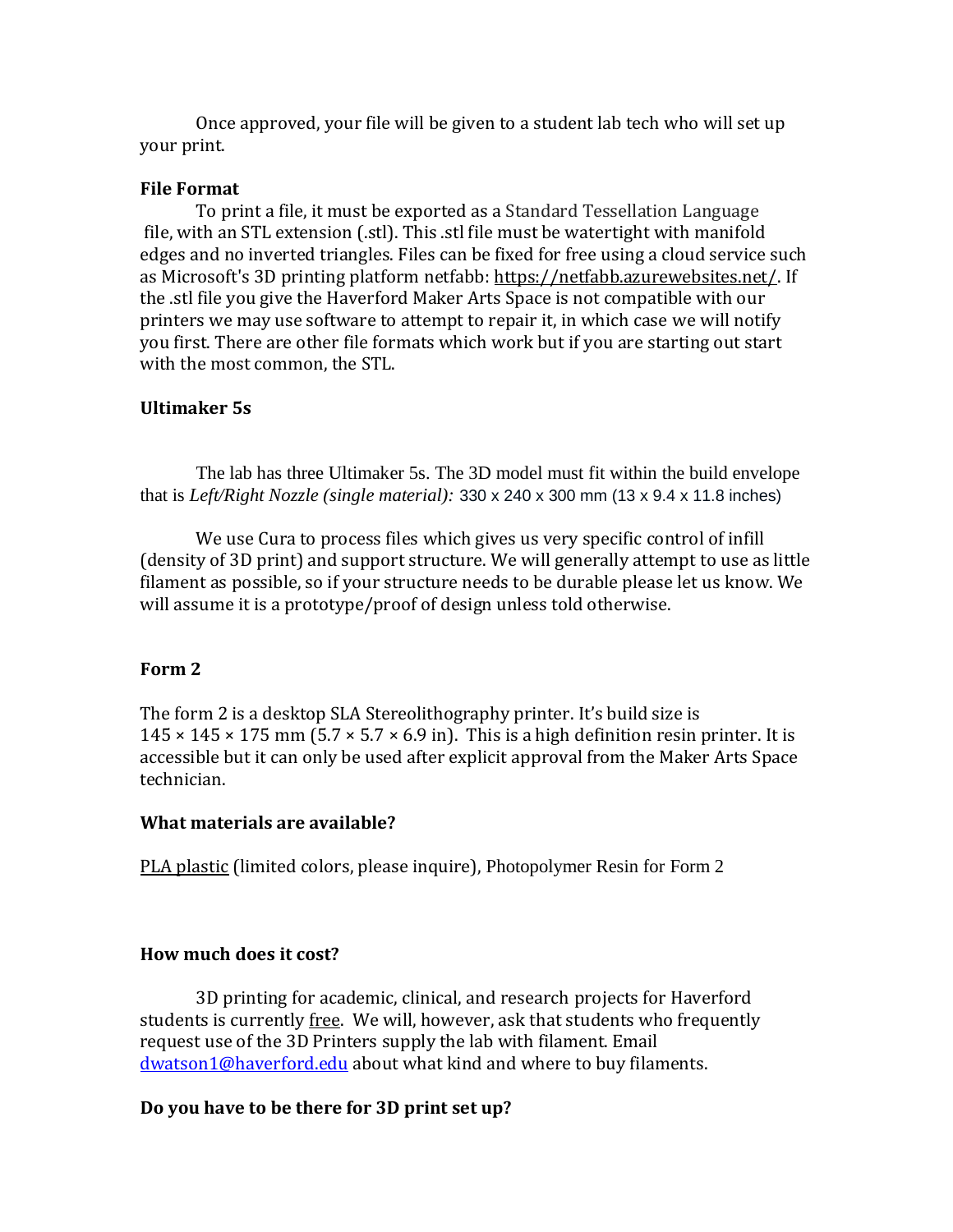Once approved, your file will be given to a student lab tech who will set up your print.

#### **File Format**

To print a file, it must be exported as a Standard Tessellation Language file, with an STL extension (.stl). This .stl file must be watertight with manifold edges and no inverted triangles. Files can be fixed for free using a cloud service such as Microsoft's 3D printing platform netfabb: [https://netfabb.azurewebsites.net/.](https://netfabb.azurewebsites.net/) If the .stl file you give the Haverford Maker Arts Space is not compatible with our printers we may use software to attempt to repair it, in which case we will notify you first. There are other file formats which work but if you are starting out start with the most common, the STL.

#### **Ultimaker 5s**

The lab has three Ultimaker 5s. The 3D model must fit within the build envelope that is *Left/Right Nozzle (single material):* 330 x 240 x 300 mm (13 x 9.4 x 11.8 inches)

We use Cura to process files which gives us very specific control of infill (density of 3D print) and support structure. We will generally attempt to use as little filament as possible, so if your structure needs to be durable please let us know. We will assume it is a prototype/proof of design unless told otherwise.

#### **Form 2**

The form 2 is a desktop SLA Stereolithography printer. It's build size is  $145 \times 145 \times 175$  mm (5.7  $\times$  5.7  $\times$  6.9 in). This is a high definition resin printer. It is accessible but it can only be used after explicit approval from the Maker Arts Space technician.

#### **What materials are available?**

[PLA plastic](https://store.makerbot.com/filament/pla-large/) (limited colors, please inquire), Photopolymer Resin for Form 2

#### **How much does it cost?**

3D printing for academic, clinical, and research projects for Haverford students is currently free. We will, however, ask that students who frequently request use of the 3D Printers supply the lab with filament. Email [dwatson1@haverford.edu](mailto:dwatson1@haverford.edu) about what kind and where to buy filaments.

#### **Do you have to be there for 3D print set up?**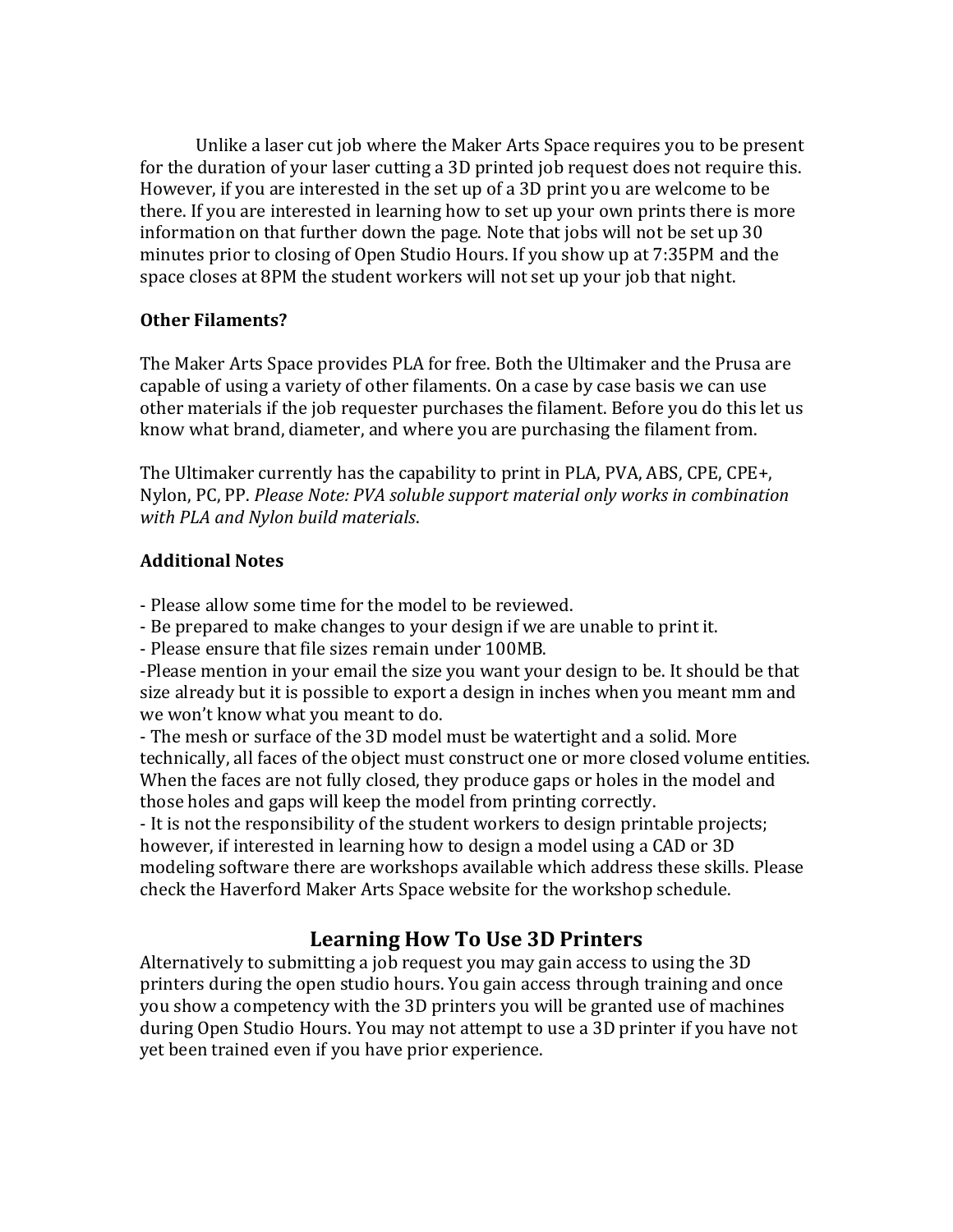Unlike a laser cut job where the Maker Arts Space requires you to be present for the duration of your laser cutting a 3D printed job request does not require this. However, if you are interested in the set up of a 3D print you are welcome to be there. If you are interested in learning how to set up your own prints there is more information on that further down the page. Note that jobs will not be set up 30 minutes prior to closing of Open Studio Hours. If you show up at 7:35PM and the space closes at 8PM the student workers will not set up your job that night.

### **Other Filaments?**

The Maker Arts Space provides PLA for free. Both the Ultimaker and the Prusa are capable of using a variety of other filaments. On a case by case basis we can use other materials if the job requester purchases the filament. Before you do this let us know what brand, diameter, and where you are purchasing the filament from.

The Ultimaker currently has the capability to print in PLA, PVA, ABS, CPE, CPE+, Nylon, PC, PP. *Please Note: PVA soluble support material only works in combination with PLA and Nylon build materials*.

### **Additional Notes**

- Please allow some time for the model to be reviewed.

- Be prepared to make changes to your design if we are unable to print it.

- Please ensure that file sizes remain under 100MB.

-Please mention in your email the size you want your design to be. It should be that size already but it is possible to export a design in inches when you meant mm and we won't know what you meant to do.

- The mesh or surface of the 3D model must be watertight and a solid. More technically, all faces of the object must construct one or more closed volume entities. When the faces are not fully closed, they produce gaps or holes in the model and those holes and gaps will keep the model from printing correctly.

- It is not the responsibility of the student workers to design printable projects; however, if interested in learning how to design a model using a CAD or 3D modeling software there are workshops available which address these skills. Please check the Haverford Maker Arts Space website for the workshop schedule.

## **Learning How To Use 3D Printers**

Alternatively to submitting a job request you may gain access to using the 3D printers during the open studio hours. You gain access through training and once you show a competency with the 3D printers you will be granted use of machines during Open Studio Hours. You may not attempt to use a 3D printer if you have not yet been trained even if you have prior experience.